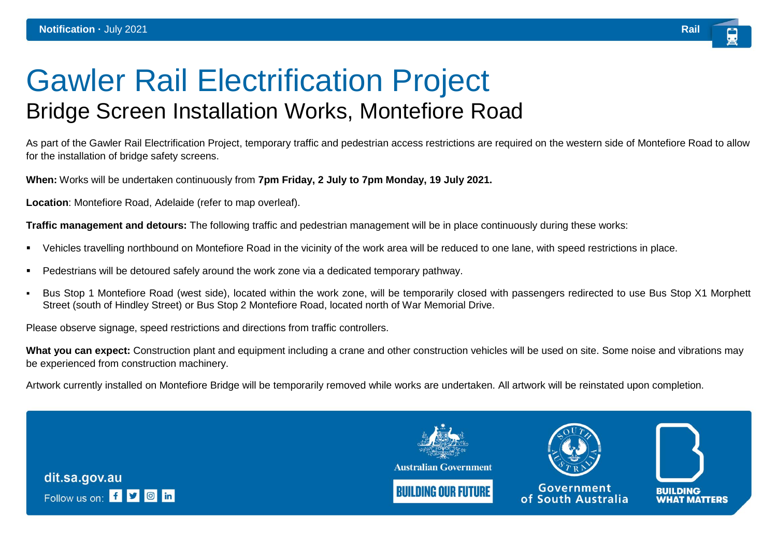## Gawler Rail Electrification Project Bridge Screen Installation Works, Montefiore Road

As part of the Gawler Rail Electrification Project, temporary traffic and pedestrian access restrictions are required on the western side of Montefiore Road to allow for the installation of bridge safety screens.

**When:** Works will be undertaken continuously from **7pm Friday, 2 July to 7pm Monday, 19 July 2021.**

**Location**: Montefiore Road, Adelaide (refer to map overleaf).

**Traffic management and detours:** The following traffic and pedestrian management will be in place continuously during these works:

- Vehicles travelling northbound on Montefiore Road in the vicinity of the work area will be reduced to one lane, with speed restrictions in place.
- Pedestrians will be detoured safely around the work zone via a dedicated temporary pathway.
- Bus Stop 1 Montefiore Road (west side), located within the work zone, will be temporarily closed with passengers redirected to use Bus Stop X1 Morphett Street (south of Hindley Street) or Bus Stop 2 Montefiore Road, located north of War Memorial Drive.

Please observe signage, speed restrictions and directions from traffic controllers.

What you can expect: Construction plant and equipment including a crane and other construction vehicles will be used on site. Some noise and vibrations may be experienced from construction machinery.

Artwork currently installed on Montefiore Bridge will be temporarily removed while works are undertaken. All artwork will be reinstated upon completion.